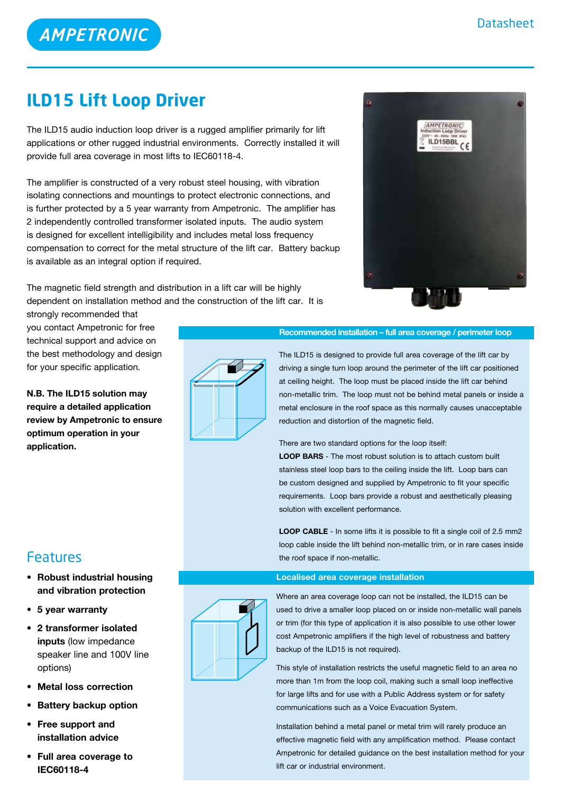# **AMPETRONIC**

# **ILD15 Lift Loop Driver**

The ILD15 audio induction loop driver is a rugged amplifier primarily for lift applications or other rugged industrial environments. Correctly installed it will provide full area coverage in most lifts to IEC60118-4.

The amplifier is constructed of a very robust steel housing, with vibration isolating connections and mountings to protect electronic connections, and is further protected by a 5 year warranty from Ampetronic. The amplifier has 2 independently controlled transformer isolated inputs. The audio system is designed for excellent intelligibility and includes metal loss frequency compensation to correct for the metal structure of the lift car. Battery backup is available as an integral option if required.

The magnetic field strength and distribution in a lift car will be highly dependent on installation method and the construction of the lift car. It is

strongly recommended that you contact Ampetronic for free technical support and advice on the best methodology and design for your specific application.

**N.B. The ILD15 solution may require a detailed application review by Ampetronic to ensure optimum operation in your application.**

# **AMPETRONIC** ILD15BBL



# **Recommended installation – full area coverage / perimeter loop**

The ILD15 is designed to provide full area coverage of the lift car by driving a single turn loop around the perimeter of the lift car positioned at ceiling height. The loop must be placed inside the lift car behind non-metallic trim. The loop must not be behind metal panels or inside a metal enclosure in the roof space as this normally causes unacceptable reduction and distortion of the magnetic field.

There are two standard options for the loop itself:

**LOOP BARS** - The most robust solution is to attach custom built stainless steel loop bars to the ceiling inside the lift. Loop bars can be custom designed and supplied by Ampetronic to fit your specific requirements. Loop bars provide a robust and aesthetically pleasing solution with excellent performance.

**LOOP CABLE** - In some lifts it is possible to fit a single coil of 2.5 mm2 loop cable inside the lift behind non-metallic trim, or in rare cases inside the roof space if non-metallic.

# **Localised area coverage installation**



Where an area coverage loop can not be installed, the ILD15 can be used to drive a smaller loop placed on or inside non-metallic wall panels or trim (for this type of application it is also possible to use other lower cost Ampetronic amplifiers if the high level of robustness and battery backup of the ILD15 is not required).

This style of installation restricts the useful magnetic field to an area no more than 1m from the loop coil, making such a small loop ineffective for large lifts and for use with a Public Address system or for safety communications such as a Voice Evacuation System.

Installation behind a metal panel or metal trim will rarely produce an effective magnetic field with any amplification method. Please contact Ampetronic for detailed guidance on the best installation method for your lift car or industrial environment.

# Features

- **• Robust industrial housing and vibration protection**
- **• 5 year warranty**
- **• 2 transformer isolated inputs** (low impedance speaker line and 100V line options)
- **• Metal loss correction**
- **Battery backup option**
- **• Free support and installation advice**
- **• Full area coverage to IEC60118-4**